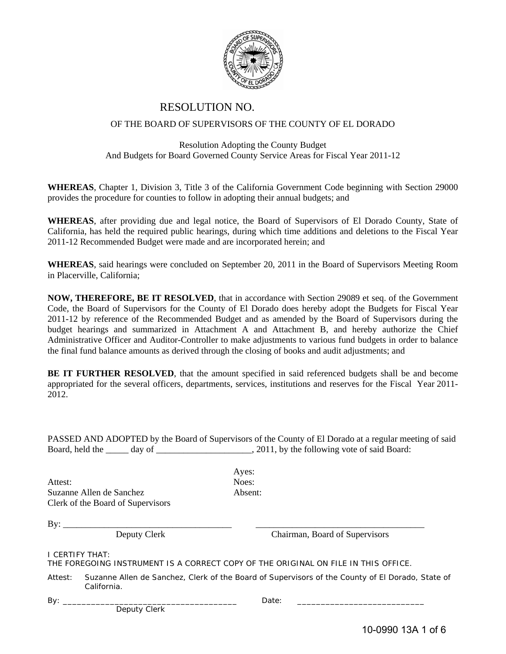

# RESOLUTION NO.

### OF THE BOARD OF SUPERVISORS OF THE COUNTY OF EL DORADO

## Resolution Adopting the County Budget And Budgets for Board Governed County Service Areas for Fiscal Year 2011-12

**WHEREAS**, Chapter 1, Division 3, Title 3 of the California Government Code beginning with Section 29000 provides the procedure for counties to follow in adopting their annual budgets; and

**WHEREAS**, after providing due and legal notice, the Board of Supervisors of El Dorado County, State of California, has held the required public hearings, during which time additions and deletions to the Fiscal Year 2011-12 Recommended Budget were made and are incorporated herein; and

**WHEREAS**, said hearings were concluded on September 20, 2011 in the Board of Supervisors Meeting Room in Placerville, California;

**NOW, THEREFORE, BE IT RESOLVED**, that in accordance with Section 29089 et seq. of the Government Code, the Board of Supervisors for the County of El Dorado does hereby adopt the Budgets for Fiscal Year 2011-12 by reference of the Recommended Budget and as amended by the Board of Supervisors during the budget hearings and summarized in Attachment A and Attachment B, and hereby authorize the Chief Administrative Officer and Auditor-Controller to make adjustments to various fund budgets in order to balance the final fund balance amounts as derived through the closing of books and audit adjustments; and

**BE IT FURTHER RESOLVED**, that the amount specified in said referenced budgets shall be and become appropriated for the several officers, departments, services, institutions and reserves for the Fiscal Year 2011- 2012.

PASSED AND ADOPTED by the Board of Supervisors of the County of El Dorado at a regular meeting of said Board, held the \_\_\_\_\_ day of \_\_\_\_\_\_\_\_\_\_\_\_\_\_\_\_\_\_\_\_\_, 2011, by the following vote of said Board:

Attest: Noes: Suzanne Allen de Sanchez **Absent:** Clerk of the Board of Supervisors

Ayes:

By: \_\_\_\_\_\_\_\_\_\_\_\_\_\_\_\_\_\_\_\_\_\_\_\_\_\_\_\_\_\_\_\_\_\_\_\_\_ \_\_\_\_\_\_\_\_\_\_\_\_\_\_\_\_\_\_\_\_\_\_\_\_\_\_\_\_\_\_\_\_\_\_\_\_\_

Deputy Clerk Chairman, Board of Supervisors

I CERTIFY THAT:

THE FOREGOING INSTRUMENT IS A CORRECT COPY OF THE ORIGINAL ON FILE IN THIS OFFICE.

Attest: Suzanne Allen de Sanchez, Clerk of the Board of Supervisors of the County of El Dorado, State of California.

Deputy Clerk

By: \_\_\_\_\_\_\_\_\_\_\_\_\_\_\_\_\_\_\_\_\_\_\_\_\_\_\_\_\_\_\_\_\_\_\_\_\_ Date: \_\_\_\_\_\_\_\_\_\_\_\_\_\_\_\_\_\_\_\_\_\_\_\_\_\_\_

10-0990 13A 1 of 6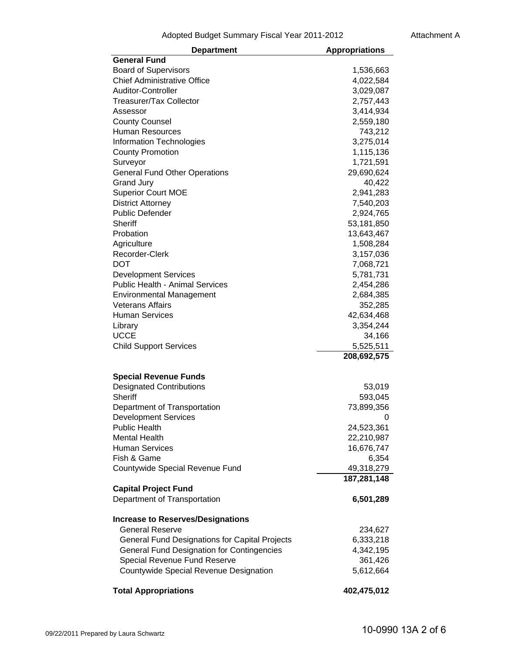Adopted Budget Summary Fiscal Year 2011-2012 Attachment A

| <b>Department</b>                                           | <b>Appropriations</b> |
|-------------------------------------------------------------|-----------------------|
| <b>General Fund</b>                                         |                       |
| <b>Board of Supervisors</b>                                 | 1,536,663             |
| <b>Chief Administrative Office</b>                          | 4,022,584             |
| Auditor-Controller                                          | 3,029,087             |
| <b>Treasurer/Tax Collector</b>                              | 2,757,443             |
| Assessor                                                    | 3,414,934             |
| <b>County Counsel</b>                                       | 2,559,180             |
| <b>Human Resources</b>                                      | 743,212               |
| <b>Information Technologies</b>                             | 3,275,014             |
| <b>County Promotion</b>                                     | 1,115,136             |
| Surveyor                                                    | 1,721,591             |
| <b>General Fund Other Operations</b>                        | 29,690,624            |
| <b>Grand Jury</b>                                           | 40,422                |
| <b>Superior Court MOE</b>                                   | 2,941,283             |
| <b>District Attorney</b>                                    | 7,540,203             |
| <b>Public Defender</b>                                      | 2,924,765             |
| <b>Sheriff</b>                                              | 53,181,850            |
| Probation                                                   | 13,643,467            |
| Agriculture                                                 | 1,508,284             |
| Recorder-Clerk                                              | 3,157,036             |
| DOT                                                         | 7,068,721             |
| <b>Development Services</b>                                 | 5,781,731             |
| <b>Public Health - Animal Services</b>                      | 2,454,286             |
| <b>Environmental Management</b>                             | 2,684,385             |
| <b>Veterans Affairs</b>                                     | 352,285               |
| <b>Human Services</b>                                       | 42,634,468            |
| Library                                                     | 3,354,244             |
| <b>UCCE</b>                                                 | 34,166                |
| <b>Child Support Services</b>                               | 5,525,511             |
|                                                             | 208,692,575           |
| <b>Special Revenue Funds</b>                                |                       |
| <b>Designated Contributions</b>                             |                       |
| <b>Sheriff</b>                                              | 53,019<br>593,045     |
|                                                             | 73,899,356            |
| Department of Transportation<br><b>Development Services</b> | 0                     |
| <b>Public Health</b>                                        | 24,523,361            |
| <b>Mental Health</b>                                        | 22,210,987            |
| <b>Human Services</b>                                       | 16,676,747            |
| Fish & Game                                                 | 6,354                 |
| Countywide Special Revenue Fund                             | 49,318,279            |
|                                                             | 187,281,148           |
| <b>Capital Project Fund</b>                                 |                       |
| Department of Transportation                                | 6,501,289             |
|                                                             |                       |
| <b>Increase to Reserves/Designations</b>                    |                       |
| <b>General Reserve</b>                                      | 234,627               |
| General Fund Designations for Capital Projects              | 6,333,218             |
| <b>General Fund Designation for Contingencies</b>           | 4,342,195             |
| Special Revenue Fund Reserve                                | 361,426               |
| <b>Countywide Special Revenue Designation</b>               | 5,612,664             |
| <b>Total Appropriations</b>                                 | 402,475,012           |
|                                                             |                       |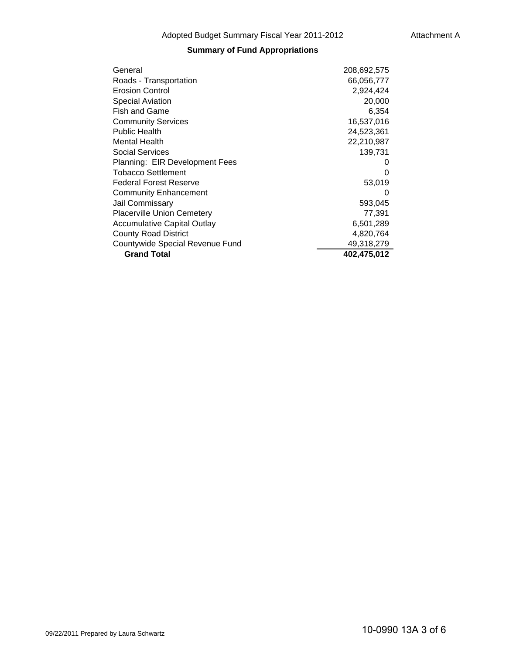# **Summary of Fund Appropriations**

| General                            | 208,692,575 |
|------------------------------------|-------------|
| Roads - Transportation             | 66,056,777  |
| <b>Erosion Control</b>             | 2,924,424   |
| <b>Special Aviation</b>            | 20,000      |
| <b>Fish and Game</b>               | 6,354       |
| <b>Community Services</b>          | 16,537,016  |
| <b>Public Health</b>               | 24,523,361  |
| <b>Mental Health</b>               | 22,210,987  |
| Social Services                    | 139,731     |
| Planning: EIR Development Fees     | 0           |
| <b>Tobacco Settlement</b>          | 0           |
| <b>Federal Forest Reserve</b>      | 53,019      |
| <b>Community Enhancement</b>       | 0           |
| <b>Jail Commissary</b>             | 593,045     |
| <b>Placerville Union Cemetery</b>  | 77,391      |
| <b>Accumulative Capital Outlay</b> | 6,501,289   |
| <b>County Road District</b>        | 4,820,764   |
| Countywide Special Revenue Fund    | 49,318,279  |
| <b>Grand Total</b>                 | 402,475,012 |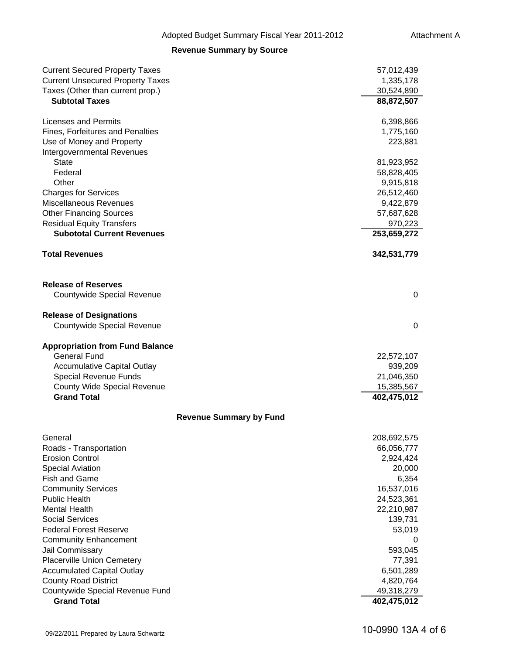## **Revenue Summary by Source**

| <b>Current Secured Property Taxes</b><br><b>Current Unsecured Property Taxes</b> | 57,012,439<br>1,335,178  |
|----------------------------------------------------------------------------------|--------------------------|
| Taxes (Other than current prop.)                                                 | 30,524,890               |
| <b>Subtotal Taxes</b>                                                            | 88,872,507               |
| <b>Licenses and Permits</b>                                                      | 6,398,866                |
| <b>Fines, Forfeitures and Penalties</b>                                          | 1,775,160                |
| Use of Money and Property                                                        | 223,881                  |
| Intergovernmental Revenues                                                       |                          |
| <b>State</b><br>Federal                                                          | 81,923,952               |
| Other                                                                            | 58,828,405<br>9,915,818  |
| <b>Charges for Services</b>                                                      | 26,512,460               |
| Miscellaneous Revenues                                                           | 9,422,879                |
| <b>Other Financing Sources</b>                                                   | 57,687,628               |
| <b>Residual Equity Transfers</b>                                                 | 970,223                  |
| <b>Subototal Current Revenues</b>                                                | 253,659,272              |
| <b>Total Revenues</b>                                                            | 342,531,779              |
| <b>Release of Reserves</b>                                                       |                          |
| Countywide Special Revenue                                                       | 0                        |
| <b>Release of Designations</b><br>Countywide Special Revenue                     | 0                        |
| <b>Appropriation from Fund Balance</b>                                           |                          |
| <b>General Fund</b>                                                              | 22,572,107               |
| <b>Accumulative Capital Outlay</b><br>Special Revenue Funds                      | 939,209<br>21,046,350    |
| <b>County Wide Special Revenue</b>                                               | 15,385,567               |
| <b>Grand Total</b>                                                               | 402,475,012              |
| <b>Revenue Summary by Fund</b>                                                   |                          |
| General                                                                          | 208,692,575              |
| Roads - Transportation                                                           | 66,056,777               |
| <b>Erosion Control</b>                                                           | 2,924,424                |
| <b>Special Aviation</b>                                                          | 20,000                   |
| <b>Fish and Game</b><br><b>Community Services</b>                                | 6,354                    |
| <b>Public Health</b>                                                             | 16,537,016<br>24,523,361 |
| <b>Mental Health</b>                                                             | 22,210,987               |
| <b>Social Services</b>                                                           | 139,731                  |
| <b>Federal Forest Reserve</b>                                                    | 53,019                   |
| <b>Community Enhancement</b>                                                     | 0                        |
| Jail Commissary                                                                  | 593,045                  |
| <b>Placerville Union Cemetery</b>                                                | 77,391                   |
| <b>Accumulated Capital Outlay</b>                                                | 6,501,289                |
| <b>County Road District</b>                                                      | 4,820,764                |
| Countywide Special Revenue Fund                                                  | 49,318,279               |
| <b>Grand Total</b>                                                               | 402,475,012              |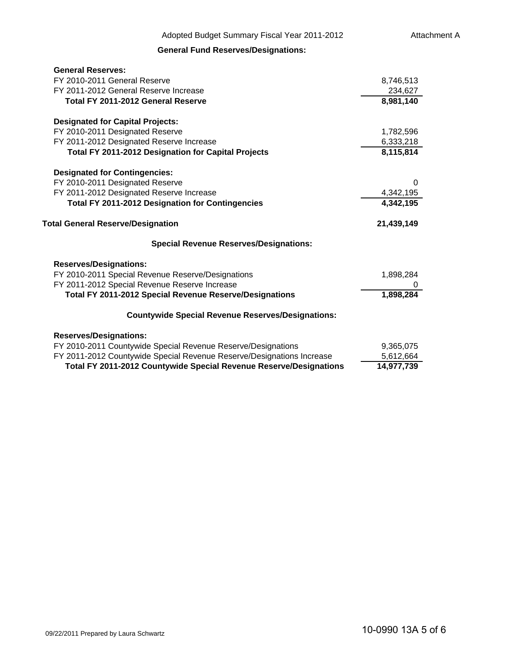# **General Fund Reserves/Designations:**

| <b>General Reserves:</b>                                                  |            |
|---------------------------------------------------------------------------|------------|
| FY 2010-2011 General Reserve                                              | 8,746,513  |
| FY 2011-2012 General Reserve Increase                                     | 234,627    |
| Total FY 2011-2012 General Reserve                                        | 8,981,140  |
| <b>Designated for Capital Projects:</b>                                   |            |
| FY 2010-2011 Designated Reserve                                           | 1,782,596  |
| FY 2011-2012 Designated Reserve Increase                                  | 6,333,218  |
| Total FY 2011-2012 Designation for Capital Projects                       | 8,115,814  |
| <b>Designated for Contingencies:</b>                                      |            |
| FY 2010-2011 Designated Reserve                                           | $\Omega$   |
| FY 2011-2012 Designated Reserve Increase                                  | 4,342,195  |
| <b>Total FY 2011-2012 Designation for Contingencies</b>                   | 4,342,195  |
| <b>Total General Reserve/Designation</b>                                  | 21,439,149 |
| <b>Special Revenue Reserves/Designations:</b>                             |            |
| <b>Reserves/Designations:</b>                                             |            |
| FY 2010-2011 Special Revenue Reserve/Designations                         | 1,898,284  |
| FY 2011-2012 Special Revenue Reserve Increase                             |            |
| <b>Total FY 2011-2012 Special Revenue Reserve/Designations</b>            | 1,898,284  |
| <b>Countywide Special Revenue Reserves/Designations:</b>                  |            |
| <b>Reserves/Designations:</b>                                             |            |
| FY 2010-2011 Countywide Special Revenue Reserve/Designations              | 9,365,075  |
| FY 2011-2012 Countywide Special Revenue Reserve/Designations Increase     | 5,612,664  |
| <b>Total FY 2011-2012 Countywide Special Revenue Reserve/Designations</b> | 14,977,739 |